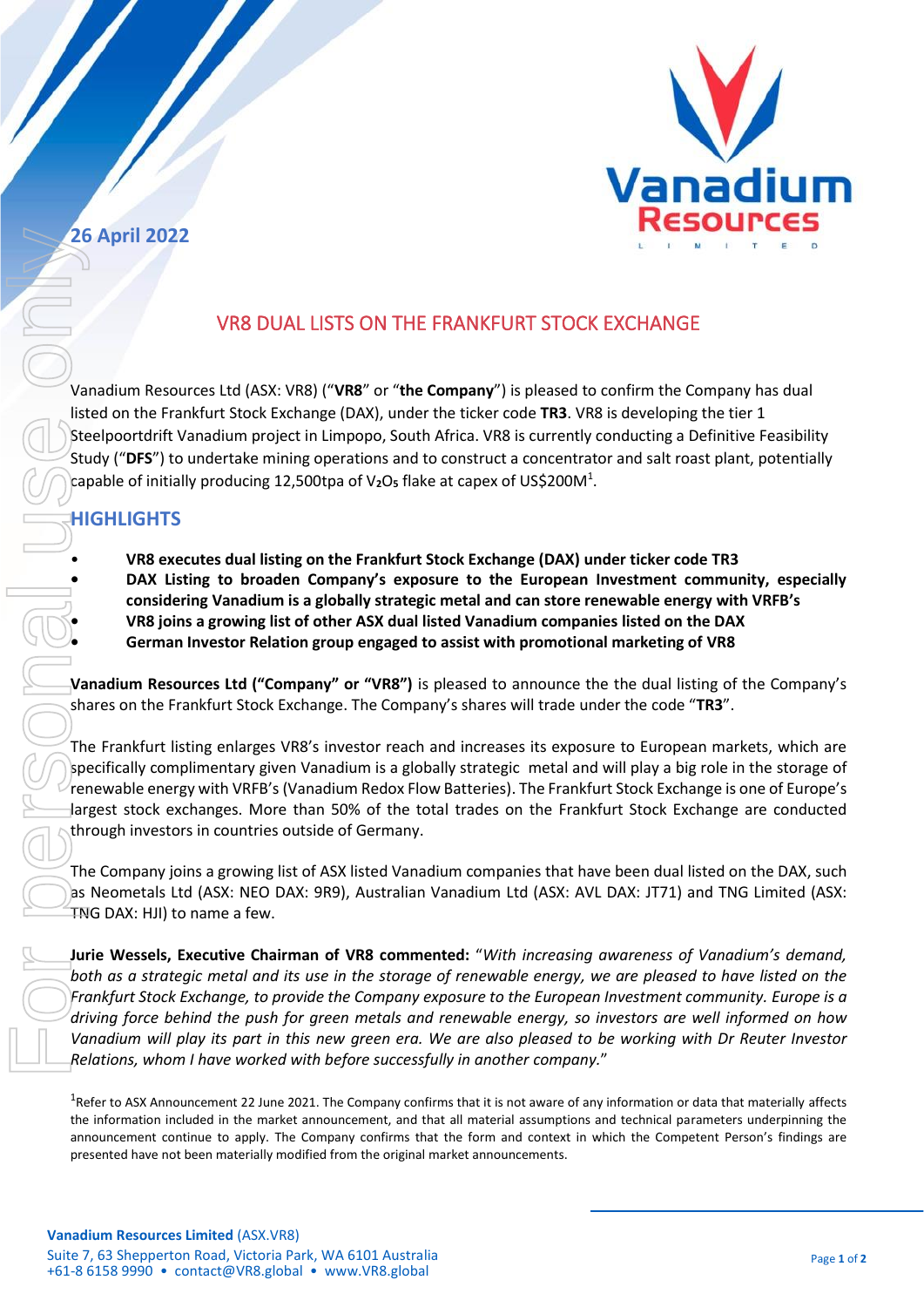

## **26 April 2022**

## VR8 DUAL LISTS ON THE FRANKFURT STOCK EXCHANGE

Vanadium Resources Ltd (ASX: VR8) ("**VR8**" or "**the Company**") is pleased to confirm the Company has dual listed on the Frankfurt Stock Exchange (DAX), under the ticker code **TR3**. VR8 is developing the tier 1 Steelpoortdrift Vanadium project in Limpopo, South Africa. VR8 is currently conducting a Definitive Feasibility Study ("**DFS**") to undertake mining operations and to construct a concentrator and salt roast plant, potentially capable of initially producing 12,500tpa of V<sub>2</sub>O<sub>5</sub> flake at capex of US\$200M<sup>1</sup>.

## **HIGHLIGHTS**

• **VR8 executes dual listing on the Frankfurt Stock Exchange (DAX) under ticker code TR3 • DAX Listing to broaden Company's exposure to the European Investment community, especially considering Vanadium is a globally strategic metal and can store renewable energy with VRFB's • VR8 joins a growing list of other ASX dual listed Vanadium companies listed on the DAX • German Investor Relation group engaged to assist with promotional marketing of VR8** 

**Vanadium Resources Ltd ("Company" or "VR8")** is pleased to announce the the dual listing of the Company's shares on the Frankfurt Stock Exchange. The Company's shares will trade under the code "**TR3**".

The Frankfurt listing enlarges VR8's investor reach and increases its exposure to European markets, which are specifically complimentary given Vanadium is a globally strategic metal and will play a big role in the storage of renewable energy with VRFB's (Vanadium Redox Flow Batteries). The Frankfurt Stock Exchange is one of Europe's largest stock exchanges. More than 50% of the total trades on the Frankfurt Stock Exchange are conducted through investors in countries outside of Germany.

The Company joins a growing list of ASX listed Vanadium companies that have been dual listed on the DAX, such as Neometals Ltd (ASX: NEO DAX: 9R9), Australian Vanadium Ltd (ASX: AVL DAX: JT71) and TNG Limited (ASX: TNG DAX: HJI) to name a few.

**Jurie Wessels, Executive Chairman of VR8 commented:** "*With increasing awareness of Vanadium's demand, both as a strategic metal and its use in the storage of renewable energy, we are pleased to have listed on the Frankfurt Stock Exchange, to provide the Company exposure to the European Investment community. Europe is a driving force behind the push for green metals and renewable energy, so investors are well informed on how Vanadium will play its part in this new green era. We are also pleased to be working with Dr Reuter Investor Relations, whom I have worked with before successfully in another company.*" 2008 April 2022<br>
VR8 DUAL LISTS ON THE FRANKFURT STON<br>
Vanadium Resources ttd (ASY. WR8) ("VR8" or "the Company") is please<br>
Stelloporotioff Vanadium project in limpop, South Mrice. VR8 IS current<br>
Stelloporotioff Vanadium

<sup>1</sup>Refer to ASX Announcement 22 June 2021. The Company confirms that it is not aware of any information or data that materially affects the information included in the market announcement, and that all material assumptions and technical parameters underpinning the announcement continue to apply. The Company confirms that the form and context in which the Competent Person's findings are